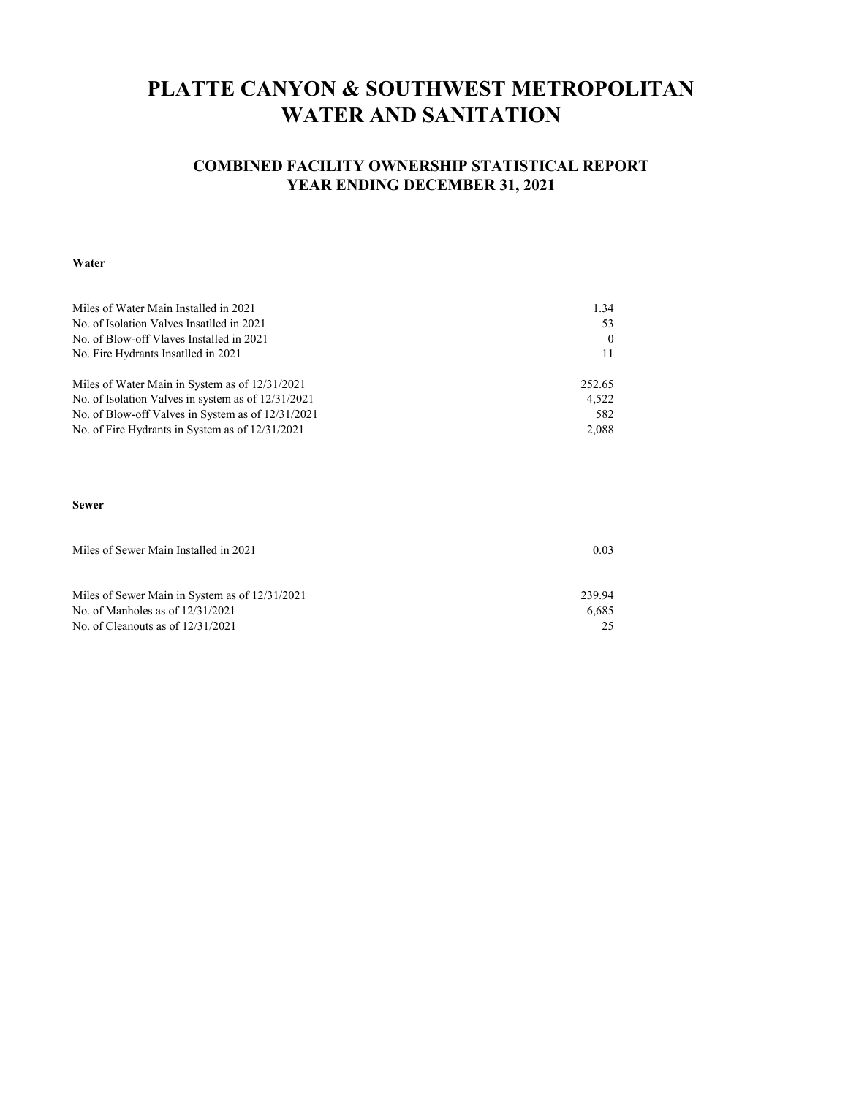## **PLATTE CANYON & SOUTHWEST METROPOLITAN WATER AND SANITATION**

### **COMBINED FACILITY OWNERSHIP STATISTICAL REPORT YEAR ENDING DECEMBER 31, 2021**

#### **Water**

| Miles of Water Main Installed in 2021              | 1.34     |
|----------------------------------------------------|----------|
| No. of Isolation Valves Insatlled in 2021          | 53       |
| No. of Blow-off Vlaves Installed in 2021           | $\theta$ |
| No. Fire Hydrants Insatlled in 2021                |          |
| Miles of Water Main in System as of 12/31/2021     | 252.65   |
| No. of Isolation Valves in system as of 12/31/2021 | 4,522    |
| No. of Blow-off Valves in System as of 12/31/2021  | 582      |
| No. of Fire Hydrants in System as of 12/31/2021    | 2,088    |

#### **Sewer**

| Miles of Sewer Main Installed in 2021          | 0.03   |  |  |
|------------------------------------------------|--------|--|--|
|                                                |        |  |  |
|                                                | 239.94 |  |  |
| Miles of Sewer Main in System as of 12/31/2021 |        |  |  |
| No. of Manholes as of $12/31/2021$             | 6.685  |  |  |
| No. of Cleanouts as of $12/31/2021$            |        |  |  |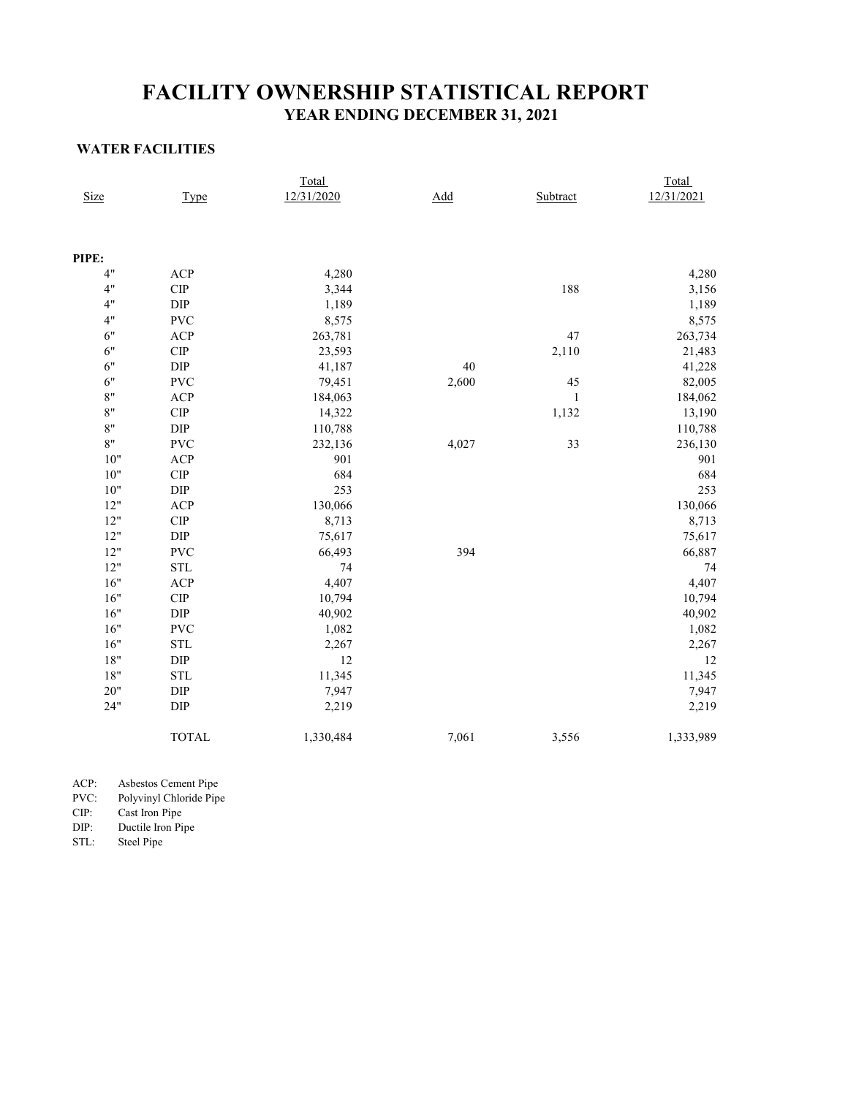## **YEAR ENDING DECEMBER 31, 2021 FACILITY OWNERSHIP STATISTICAL REPORT**

### **WATER FACILITIES**

|             |                             | <u>Total</u> |       |              | <b>Total</b> |
|-------------|-----------------------------|--------------|-------|--------------|--------------|
| <b>Size</b> | Type                        | 12/31/2020   | Add   | Subtract     | 12/31/2021   |
|             |                             |              |       |              |              |
| PIPE:       |                             |              |       |              |              |
| 4"          | ACP                         | 4,280        |       |              | 4,280        |
| 4"          | CIP                         | 3,344        |       | 188          | 3,156        |
| 4"          | $\rm DIP$                   | 1,189        |       |              | 1,189        |
| 4"          | <b>PVC</b>                  | 8,575        |       |              | 8,575        |
| 6"          | ACP                         | 263,781      |       | 47           | 263,734      |
| 6"          | $\cal{C}\cal{IP}$           | 23,593       |       | 2,110        | 21,483       |
| 6"          | $\rm DIP$                   | 41,187       | 40    |              | 41,228       |
| $6"$        | <b>PVC</b>                  | 79,451       | 2,600 | 45           | 82,005       |
| $8"$        | ACP                         | 184,063      |       | $\mathbf{1}$ | 184,062      |
| $8"$        | $\ensuremath{\mathrm{CIP}}$ | 14,322       |       | 1,132        | 13,190       |
| 8"          | $\rm DIP$                   | 110,788      |       |              | 110,788      |
| $8"$        | <b>PVC</b>                  | 232,136      | 4,027 | 33           | 236,130      |
| $10"$       | ACP                         | 901          |       |              | 901          |
| 10"         | $\ensuremath{\mathrm{CIP}}$ | 684          |       |              | 684          |
| $10"$       | $\rm DIP$                   | 253          |       |              | 253          |
| 12"         | ACP                         | 130,066      |       |              | 130,066      |
| 12"         | CIP                         | 8,713        |       |              | 8,713        |
| 12"         | ${\rm DIP}$                 | 75,617       |       |              | 75,617       |
| 12"         | <b>PVC</b>                  | 66,493       | 394   |              | 66,887       |
| 12"         | $\operatorname{STL}$        | 74           |       |              | 74           |
| $16"$       | ACP                         | 4,407        |       |              | 4,407        |
| $16"$       | $\cal{C}\cal{IP}$           | 10,794       |       |              | 10,794       |
| 16"         | ${\rm DIP}$                 | 40,902       |       |              | 40,902       |
| $16"$       | <b>PVC</b>                  | 1,082        |       |              | 1,082        |
| 16"         | $\operatorname{STL}$        | 2,267        |       |              | 2,267        |
| $18"$       | ${\rm DIP}$                 | 12           |       |              | 12           |
| $18"$       | $\operatorname{STL}$        | 11,345       |       |              | 11,345       |
| $20"$       | ${\rm DIP}$                 | 7,947        |       |              | 7,947        |
| 24"         | $\rm DIP$                   | 2,219        |       |              | 2,219        |
|             | <b>TOTAL</b>                | 1,330,484    | 7,061 | 3,556        | 1,333,989    |

ACP: Asbestos Cement Pipe

PVC: Polyvinyl Chloride Pipe

CIP: Cast Iron Pipe

DIP: Ductile Iron Pipe

STL: Steel Pipe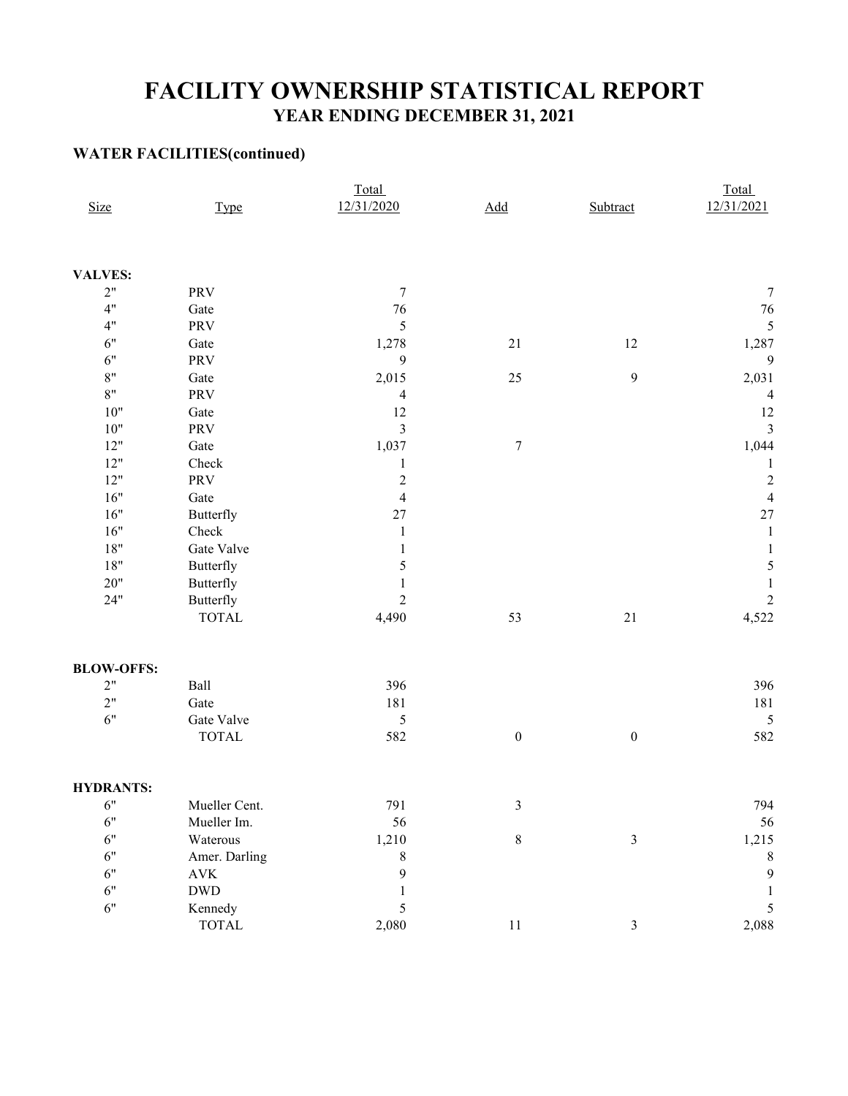## **FACILITY OWNERSHIP STATISTICAL REPORT YEAR ENDING DECEMBER 31, 2021**

### **WATER FACILITIES(continued)**

|                   |                               | Total                   |                            |                  | Total                    |  |  |
|-------------------|-------------------------------|-------------------------|----------------------------|------------------|--------------------------|--|--|
| <b>Size</b>       | Type                          | 12/31/2020              | $\underline{\mathbf{Add}}$ | Subtract         | 12/31/2021               |  |  |
|                   |                               |                         |                            |                  |                          |  |  |
| <b>VALVES:</b>    |                               |                         |                            |                  |                          |  |  |
| 2"                | PRV                           | $\overline{7}$          |                            |                  | $\sqrt{ }$               |  |  |
| 4"                | Gate                          | $76\,$                  |                            |                  | 76                       |  |  |
| 4"                | PRV                           | 5                       |                            |                  | 5                        |  |  |
| 6"                | Gate                          | 1,278                   | 21                         | $12\,$           | 1,287                    |  |  |
| 6"                | PRV                           | 9                       |                            |                  | 9                        |  |  |
| $8"$              | Gate                          | 2,015                   | $25\,$                     | $\boldsymbol{9}$ | 2,031                    |  |  |
| 8"                | PRV                           | $\overline{4}$          |                            |                  | $\overline{\mathcal{L}}$ |  |  |
| $10"$             | Gate                          | 12                      |                            |                  | 12                       |  |  |
| $10"$             | PRV                           | $\mathfrak{Z}$          |                            |                  | $\overline{\mathbf{3}}$  |  |  |
| $12"$             | Gate                          | 1,037                   | $\sqrt{ }$                 |                  | 1,044                    |  |  |
| 12"               | Check                         | $\mathbf{1}$            |                            |                  | 1                        |  |  |
| $12"$             | PRV                           | $\sqrt{2}$              |                            |                  | $\overline{c}$           |  |  |
| 16"               | Gate                          | $\overline{\mathbf{4}}$ |                            |                  | $\overline{4}$           |  |  |
| 16"               | Butterfly                     | 27                      |                            |                  | 27                       |  |  |
| 16"               | Check                         | $\mathbf{1}$            |                            |                  | $\,1\,$                  |  |  |
| $18"$             | Gate Valve                    | $\mathbf{1}$            |                            |                  | 1                        |  |  |
| $18"$             | Butterfly                     | 5                       |                            |                  | 5                        |  |  |
| $20"$             | Butterfly                     | $\mathbf{1}$            |                            |                  | $\mathbf{1}$             |  |  |
| 24"               | Butterfly                     | $\overline{2}$          |                            |                  | $\overline{c}$           |  |  |
|                   | <b>TOTAL</b>                  | 4,490                   | 53                         | $21\,$           | 4,522                    |  |  |
| <b>BLOW-OFFS:</b> |                               |                         |                            |                  |                          |  |  |
| 2"                | Ball                          | 396                     |                            |                  | 396                      |  |  |
| 2"                | Gate                          | 181                     |                            |                  | 181                      |  |  |
| 6"                | Gate Valve                    | $\sqrt{5}$              |                            |                  | 5                        |  |  |
|                   | <b>TOTAL</b>                  | 582                     | $\boldsymbol{0}$           | $\boldsymbol{0}$ | 582                      |  |  |
| <b>HYDRANTS:</b>  |                               |                         |                            |                  |                          |  |  |
| 6"                | Mueller Cent.                 | 791                     | 3                          |                  | 794                      |  |  |
| 6"                | Mueller Im.                   | 56                      |                            |                  | 56                       |  |  |
| 6"                | Waterous                      | 1,210                   | $\,8\,$                    | $\mathfrak{Z}$   | 1,215                    |  |  |
| 6"                | Amer. Darling                 | $\,8\,$                 |                            |                  | 8                        |  |  |
| 6"                | $\operatorname{AVK}$          | $\mathbf{9}$            |                            |                  | 9                        |  |  |
| 6"                | $\operatorname{DWD}$          | 1                       |                            |                  | 1                        |  |  |
| 6"                | Kennedy                       | 5                       |                            |                  | 5                        |  |  |
|                   | $\ensuremath{\mathsf{TOTAL}}$ | 2,080                   | $11\,$                     | $\mathfrak{Z}$   | 2,088                    |  |  |
|                   |                               |                         |                            |                  |                          |  |  |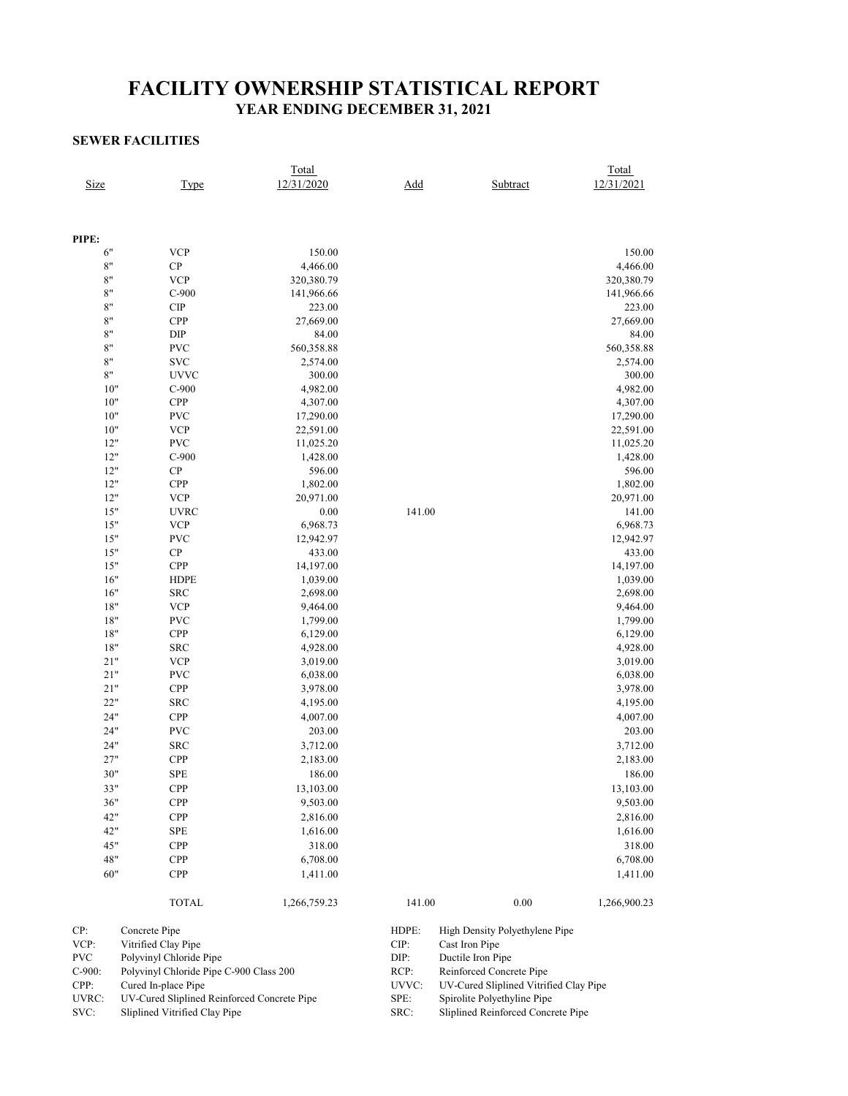## **FACILITY OWNERSHIP STATISTICAL REPORT YEAR ENDING DECEMBER 31, 2021**

### **SEWER FACILITIES**

| Size                  |               | Type                                    | Total<br>12/31/2020 | Add    |                   | Subtract                       | Total<br>12/31/2021 |  |  |
|-----------------------|---------------|-----------------------------------------|---------------------|--------|-------------------|--------------------------------|---------------------|--|--|
|                       |               |                                         |                     |        |                   |                                |                     |  |  |
|                       |               |                                         |                     |        |                   |                                |                     |  |  |
| PIPE:                 |               |                                         |                     |        |                   |                                |                     |  |  |
| 6"                    |               | <b>VCP</b>                              | 150.00              |        |                   |                                | 150.00              |  |  |
| $8"$                  |               | CP                                      | 4,466.00            |        |                   |                                | 4,466.00            |  |  |
| $8"$                  |               | <b>VCP</b>                              | 320,380.79          |        |                   |                                | 320,380.79          |  |  |
| $8"$                  |               | $C-900$                                 | 141,966.66          |        |                   |                                | 141,966.66          |  |  |
| $8"$                  |               | <b>CIP</b>                              | 223.00              |        |                   |                                | 223.00              |  |  |
| $8"$<br>$8\mathrm{"}$ |               | CPP                                     | 27,669.00           |        |                   |                                | 27,669.00           |  |  |
| $8"$                  |               | DIP<br><b>PVC</b>                       | 84.00               |        |                   |                                | 84.00               |  |  |
| $8"$                  |               | <b>SVC</b>                              | 560,358.88          |        |                   |                                | 560,358.88          |  |  |
|                       |               |                                         | 2,574.00            |        |                   |                                | 2,574.00            |  |  |
| $8\mathrm{"}$         |               | <b>UVVC</b>                             | 300.00              |        |                   |                                | 300.00              |  |  |
|                       | $10"$         | $C-900$                                 | 4,982.00            |        |                   |                                | 4,982.00            |  |  |
|                       | 10"<br>$10"$  | CPP<br><b>PVC</b>                       | 4,307.00            |        |                   |                                | 4,307.00            |  |  |
|                       |               |                                         | 17,290.00           |        |                   |                                | 17,290.00           |  |  |
|                       | $10"$         | <b>VCP</b>                              | 22,591.00           |        |                   |                                | 22,591.00           |  |  |
|                       | 12"           | <b>PVC</b>                              | 11,025.20           |        |                   |                                | 11,025.20           |  |  |
|                       | 12"<br>12"    | $C-900$<br>${\bf CP}$                   | 1,428.00            |        |                   |                                | 1,428.00            |  |  |
|                       |               |                                         | 596.00              |        |                   |                                | 596.00              |  |  |
|                       | 12"           | CPP                                     | 1,802.00            |        |                   |                                | 1,802.00            |  |  |
|                       | 12"           | <b>VCP</b>                              | 20,971.00           |        |                   |                                | 20,971.00           |  |  |
|                       | 15"           | <b>UVRC</b>                             | 0.00                | 141.00 |                   |                                | 141.00              |  |  |
|                       | $15"$         | <b>VCP</b>                              | 6,968.73            |        |                   |                                | 6,968.73            |  |  |
|                       | $15"$         | <b>PVC</b>                              | 12,942.97           |        |                   |                                | 12,942.97           |  |  |
|                       | 15"           | ${\bf CP}$                              | 433.00              |        |                   |                                | 433.00              |  |  |
|                       | $15"$         | CPP                                     | 14,197.00           |        |                   |                                | 14,197.00           |  |  |
|                       | 16"           | <b>HDPE</b>                             | 1,039.00            |        |                   |                                | 1,039.00            |  |  |
|                       | 16"           | <b>SRC</b>                              | 2,698.00            |        |                   |                                | 2,698.00            |  |  |
|                       | $18"$         | <b>VCP</b>                              | 9,464.00            |        |                   |                                | 9,464.00            |  |  |
|                       | $18"$         | <b>PVC</b>                              | 1,799.00            |        |                   |                                | 1,799.00            |  |  |
|                       | $18"$         | CPP                                     | 6,129.00            |        |                   |                                | 6,129.00            |  |  |
|                       | 18"           | <b>SRC</b>                              | 4,928.00            |        |                   |                                | 4,928.00            |  |  |
|                       | 21"           | <b>VCP</b>                              | 3,019.00            |        |                   |                                | 3,019.00            |  |  |
|                       | 21"           | <b>PVC</b>                              | 6,038.00            |        |                   |                                | 6,038.00            |  |  |
|                       | 21"           | CPP                                     | 3,978.00            |        |                   |                                | 3,978.00            |  |  |
|                       | 22"           | <b>SRC</b>                              | 4,195.00            |        |                   |                                | 4,195.00            |  |  |
|                       | 24"           | CPP                                     | 4,007.00            |        |                   |                                | 4,007.00            |  |  |
|                       | 24"           | <b>PVC</b>                              | 203.00              |        |                   |                                | 203.00              |  |  |
|                       | 24"           | <b>SRC</b>                              | 3,712.00            |        |                   |                                | 3,712.00            |  |  |
|                       | 27"           | CPP                                     | 2,183.00            |        |                   |                                | 2,183.00            |  |  |
|                       | 30"           | <b>SPE</b>                              | 186.00              |        |                   |                                | 186.00              |  |  |
|                       | 33"           | CPP                                     | 13,103.00           |        |                   |                                | 13,103.00           |  |  |
|                       | 36"           | <b>CPP</b>                              | 9,503.00            |        |                   |                                | 9,503.00            |  |  |
|                       | 42"           | <b>CPP</b>                              | 2,816.00            |        |                   |                                | 2,816.00            |  |  |
|                       | 42"           | SPE                                     | 1,616.00            |        |                   |                                | 1,616.00            |  |  |
|                       | 45"           | CPP                                     | 318.00              |        |                   |                                | 318.00              |  |  |
|                       | 48"           | <b>CPP</b>                              | 6,708.00            |        |                   |                                | 6,708.00            |  |  |
|                       | 60"           | <b>CPP</b>                              | 1,411.00            |        |                   |                                | 1,411.00            |  |  |
|                       |               | <b>TOTAL</b>                            | 1,266,759.23        | 141.00 |                   | 0.00                           | 1,266,900.23        |  |  |
| CP:                   | Concrete Pipe |                                         |                     | HDPE:  |                   | High Density Polyethylene Pipe |                     |  |  |
| VCP:                  |               | Vitrified Clay Pipe                     |                     | CIP:   | Cast Iron Pipe    |                                |                     |  |  |
| <b>PVC</b>            |               | Polyvinyl Chloride Pipe                 |                     | DIP:   | Ductile Iron Pipe |                                |                     |  |  |
| C-900:                |               | Polyvinyl Chloride Pipe C-900 Class 200 |                     | RCP:   |                   | Reinforced Concrete Pipe       |                     |  |  |

UV-Cured Sliplined Vitrified Clay Pipe Spirolite Polyethyline Pipe<br>Sliplined Reinforced Concrete Pipe

| .          | $\ldots$                                    | .     |
|------------|---------------------------------------------|-------|
| <b>PVC</b> | Polyvinyl Chloride Pipe                     | DIP:  |
| $C-900$ :  | Polyvinyl Chloride Pipe C-900 Class 200     | RCP:  |
| CPP:       | Cured In-place Pipe                         | UVVC: |
| UVRC:      | UV-Cured Sliplined Reinforced Concrete Pipe | SPE:  |
| SVC:       | Sliplined Vitrified Clay Pipe               | SRC:  |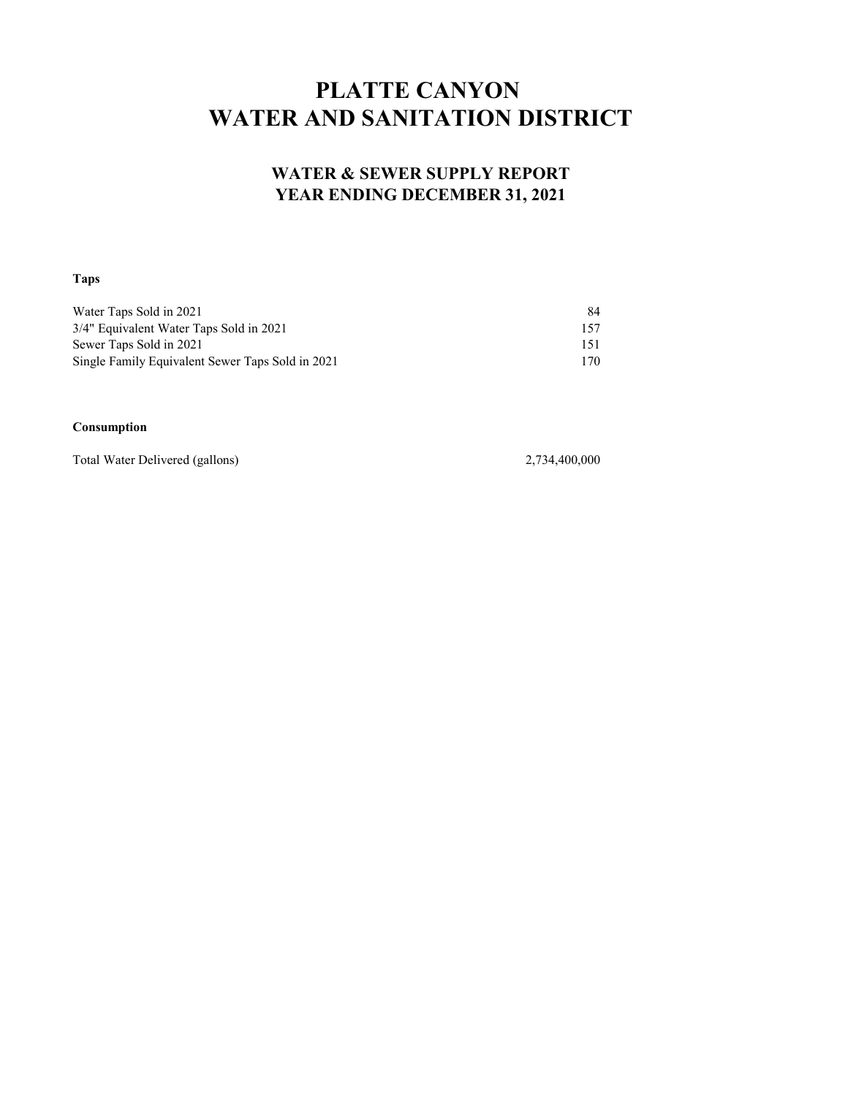# **PLATTE CANYON WATER AND SANITATION DISTRICT**

### **WATER & SEWER SUPPLY REPORT YEAR ENDING DECEMBER 31, 2021**

### **Taps**

| Water Taps Sold in 2021                          | 84  |
|--------------------------------------------------|-----|
| 3/4" Equivalent Water Taps Sold in 2021          | 157 |
| Sewer Taps Sold in 2021                          | 151 |
| Single Family Equivalent Sewer Taps Sold in 2021 | 170 |

#### **Consumption**

Total Water Delivered (gallons) 2,734,400,000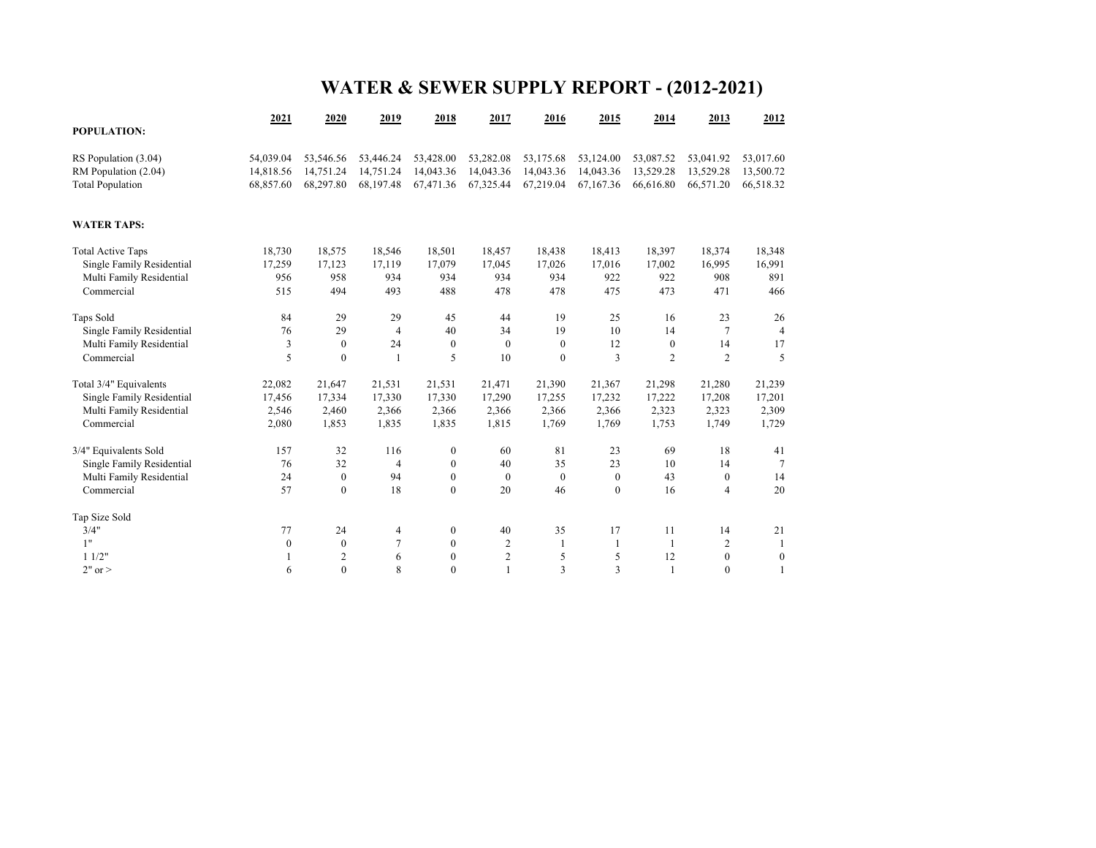# **WATER & SEWER SUPPLY REPORT - (2012-2021)**

|                           | 2021           | 2020             | 2019           | 2018             | 2017                    | 2016         | 2015         | 2014           | 2013             | 2012             |
|---------------------------|----------------|------------------|----------------|------------------|-------------------------|--------------|--------------|----------------|------------------|------------------|
| <b>POPULATION:</b>        |                |                  |                |                  |                         |              |              |                |                  |                  |
| RS Population (3.04)      | 54,039.04      | 53,546.56        | 53,446.24      | 53,428.00        | 53,282.08               | 53,175.68    | 53,124.00    | 53,087.52      | 53,041.92        | 53,017.60        |
| RM Population (2.04)      | 14,818.56      | 14,751.24        | 14,751.24      | 14,043.36        | 14,043.36               | 14,043.36    | 14,043.36    | 13,529.28      | 13,529.28        | 13,500.72        |
| <b>Total Population</b>   | 68,857.60      | 68,297.80        | 68,197.48      | 67,471.36        | 67,325.44               | 67,219.04    | 67,167.36    | 66,616.80      | 66,571.20        | 66,518.32        |
| <b>WATER TAPS:</b>        |                |                  |                |                  |                         |              |              |                |                  |                  |
| <b>Total Active Taps</b>  | 18,730         | 18,575           | 18,546         | 18,501           | 18,457                  | 18,438       | 18,413       | 18,397         | 18,374           | 18,348           |
| Single Family Residential | 17,259         | 17,123           | 17,119         | 17,079           | 17,045                  | 17,026       | 17,016       | 17,002         | 16,995           | 16,991           |
| Multi Family Residential  | 956            | 958              | 934            | 934              | 934                     | 934          | 922          | 922            | 908              | 891              |
| Commercial                | 515            | 494              | 493            | 488              | 478                     | 478          | 475          | 473            | 471              | 466              |
| Taps Sold                 | 84             | 29               | 29             | 45               | 44                      | 19           | 25           | 16             | 23               | 26               |
| Single Family Residential | 76             | 29               | $\overline{4}$ | 40               | 34                      | 19           | 10           | 14             | 7                | 4                |
| Multi Family Residential  | $\mathfrak{Z}$ | $\boldsymbol{0}$ | 24             | $\boldsymbol{0}$ | $\theta$                | $\mathbf{0}$ | 12           | $\mathbf{0}$   | 14               | 17               |
| Commercial                | 5              | $\mathbf{0}$     | $\mathbf{1}$   | 5                | 10                      | $\mathbf{0}$ | 3            | $\overline{c}$ | $\overline{2}$   | 5                |
| Total 3/4" Equivalents    | 22,082         | 21,647           | 21,531         | 21,531           | 21,471                  | 21,390       | 21,367       | 21,298         | 21,280           | 21,239           |
| Single Family Residential | 17,456         | 17,334           | 17,330         | 17,330           | 17,290                  | 17,255       | 17,232       | 17,222         | 17,208           | 17,201           |
| Multi Family Residential  | 2,546          | 2,460            | 2,366          | 2,366            | 2,366                   | 2,366        | 2,366        | 2,323          | 2,323            | 2,309            |
| Commercial                | 2,080          | 1,853            | 1,835          | 1,835            | 1,815                   | 1,769        | 1,769        | 1,753          | 1,749            | 1,729            |
| 3/4" Equivalents Sold     | 157            | 32               | 116            | $\boldsymbol{0}$ | 60                      | 81           | 23           | 69             | 18               | 41               |
| Single Family Residential | 76             | 32               | 4              | $\boldsymbol{0}$ | 40                      | 35           | 23           | 10             | 14               | $\overline{7}$   |
| Multi Family Residential  | 24             | $\boldsymbol{0}$ | 94             | $\boldsymbol{0}$ | $\mathbf{0}$            | $\mathbf{0}$ | $\mathbf{0}$ | 43             | $\boldsymbol{0}$ | 14               |
| Commercial                | 57             | $\mathbf{0}$     | 18             | $\mathbf{0}$     | 20                      | 46           | $\mathbf{0}$ | 16             | $\overline{4}$   | 20               |
| Tap Size Sold             |                |                  |                |                  |                         |              |              |                |                  |                  |
| 3/4"                      | 77             | 24               | 4              | $\boldsymbol{0}$ | 40                      | 35           | 17           | 11             | 14               | 21               |
| 1"                        | $\mathbf{0}$   | $\mathbf{0}$     | $\overline{7}$ | $\mathbf{0}$     | 2                       | $\mathbf{1}$ | $\mathbf{1}$ | $\mathbf{1}$   | $\overline{2}$   | 1                |
| 11/2"                     |                | $\overline{c}$   | 6              | $\boldsymbol{0}$ | $\overline{\mathbf{c}}$ | 5            | 5            | 12             | $\boldsymbol{0}$ | $\boldsymbol{0}$ |
| $2"$ or $>$               | 6              | $\mathbf{0}$     | 8              | $\Omega$         | $\mathbf{1}$            | 3            | 3            | $\mathbf{1}$   | $\mathbf{0}$     | 1                |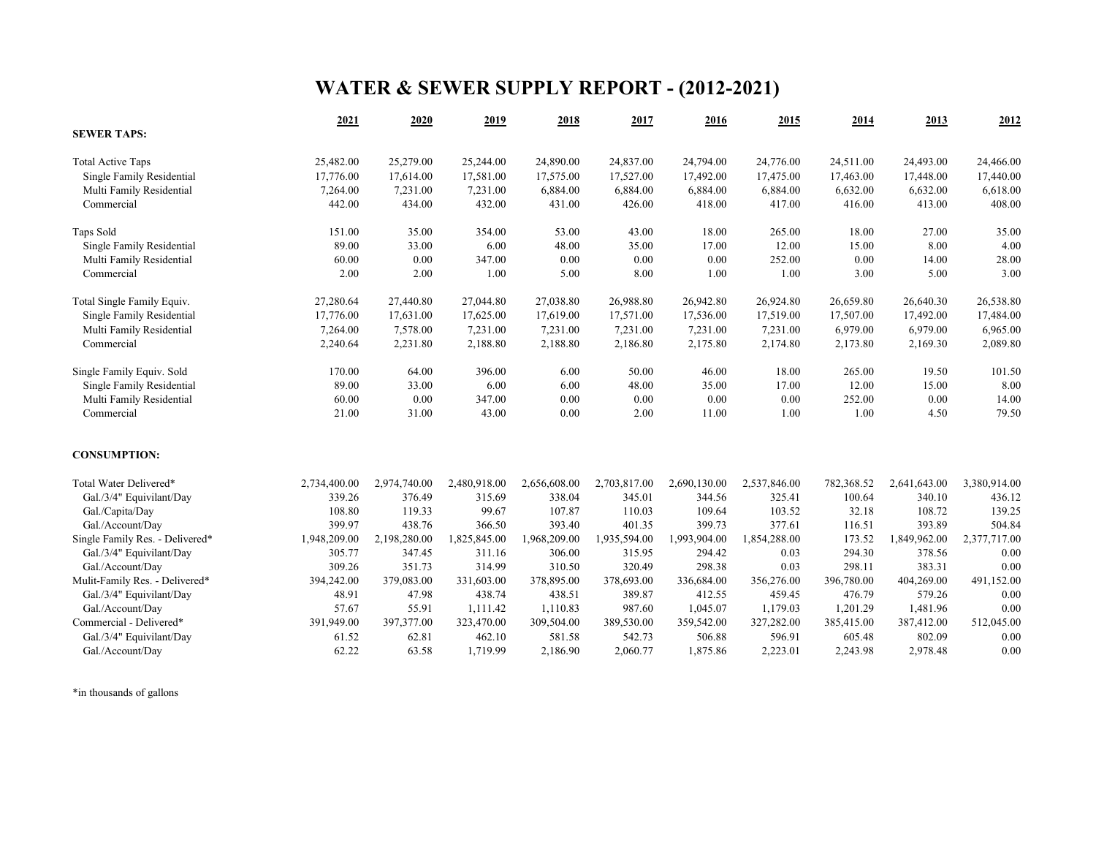# **WATER & SEWER SUPPLY REPORT - (2012-2021)**

|                                 | 2021         | 2020         | 2019         | 2018         | 2017         | 2016         | 2015         | 2014       | 2013         | 2012         |
|---------------------------------|--------------|--------------|--------------|--------------|--------------|--------------|--------------|------------|--------------|--------------|
| <b>SEWER TAPS:</b>              |              |              |              |              |              |              |              |            |              |              |
| <b>Total Active Taps</b>        | 25,482.00    | 25,279.00    | 25,244.00    | 24,890.00    | 24,837.00    | 24,794.00    | 24,776.00    | 24,511.00  | 24,493.00    | 24,466.00    |
| Single Family Residential       | 17,776.00    | 17,614.00    | 17,581.00    | 17,575.00    | 17,527.00    | 17,492.00    | 17,475.00    | 17,463.00  | 17,448.00    | 17,440.00    |
| Multi Family Residential        | 7,264.00     | 7,231.00     | 7,231.00     | 6,884.00     | 6,884.00     | 6,884.00     | 6,884.00     | 6,632.00   | 6,632.00     | 6,618.00     |
| Commercial                      | 442.00       | 434.00       | 432.00       | 431.00       | 426.00       | 418.00       | 417.00       | 416.00     | 413.00       | 408.00       |
| Taps Sold                       | 151.00       | 35.00        | 354.00       | 53.00        | 43.00        | 18.00        | 265.00       | 18.00      | 27.00        | 35.00        |
| Single Family Residential       | 89.00        | 33.00        | 6.00         | 48.00        | 35.00        | 17.00        | 12.00        | 15.00      | 8.00         | 4.00         |
| Multi Family Residential        | 60.00        | 0.00         | 347.00       | 0.00         | 0.00         | 0.00         | 252.00       | 0.00       | 14.00        | 28.00        |
| Commercial                      | 2.00         | 2.00         | 1.00         | 5.00         | 8.00         | 1.00         | 1.00         | 3.00       | 5.00         | 3.00         |
| Total Single Family Equiv.      | 27,280.64    | 27,440.80    | 27,044.80    | 27,038.80    | 26,988.80    | 26,942.80    | 26,924.80    | 26,659.80  | 26,640.30    | 26,538.80    |
| Single Family Residential       | 17,776.00    | 17,631.00    | 17,625.00    | 17,619.00    | 17,571.00    | 17,536.00    | 17,519.00    | 17,507.00  | 17,492.00    | 17,484.00    |
| Multi Family Residential        | 7,264.00     | 7,578.00     | 7,231.00     | 7,231.00     | 7,231.00     | 7,231.00     | 7,231.00     | 6,979.00   | 6,979.00     | 6,965.00     |
| Commercial                      | 2,240.64     | 2,231.80     | 2,188.80     | 2,188.80     | 2,186.80     | 2,175.80     | 2,174.80     | 2,173.80   | 2,169.30     | 2,089.80     |
| Single Family Equiv. Sold       | 170.00       | 64.00        | 396.00       | 6.00         | 50.00        | 46.00        | 18.00        | 265.00     | 19.50        | 101.50       |
| Single Family Residential       | 89.00        | 33.00        | 6.00         | 6.00         | 48.00        | 35.00        | 17.00        | 12.00      | 15.00        | 8.00         |
| Multi Family Residential        | 60.00        | $0.00\,$     | 347.00       | 0.00         | 0.00         | 0.00         | 0.00         | 252.00     | 0.00         | 14.00        |
| Commercial                      | 21.00        | 31.00        | 43.00        | 0.00         | 2.00         | 11.00        | 1.00         | 1.00       | 4.50         | 79.50        |
| <b>CONSUMPTION:</b>             |              |              |              |              |              |              |              |            |              |              |
| Total Water Delivered*          | 2,734,400.00 | 2,974,740.00 | 2,480,918.00 | 2,656,608.00 | 2,703,817.00 | 2,690,130.00 | 2,537,846.00 | 782,368.52 | 2,641,643.00 | 3,380,914.00 |
| Gal./3/4" Equivilant/Day        | 339.26       | 376.49       | 315.69       | 338.04       | 345.01       | 344.56       | 325.41       | 100.64     | 340.10       | 436.12       |
| Gal./Capita/Day                 | 108.80       | 119.33       | 99.67        | 107.87       | 110.03       | 109.64       | 103.52       | 32.18      | 108.72       | 139.25       |
| Gal./Account/Day                | 399.97       | 438.76       | 366.50       | 393.40       | 401.35       | 399.73       | 377.61       | 116.51     | 393.89       | 504.84       |
| Single Family Res. - Delivered* | 1,948,209.00 | 2,198,280.00 | 1,825,845.00 | 1,968,209.00 | 1,935,594.00 | 1,993,904.00 | 1,854,288.00 | 173.52     | 1,849,962.00 | 2,377,717.00 |
| Gal./3/4" Equivilant/Day        | 305.77       | 347.45       | 311.16       | 306.00       | 315.95       | 294.42       | 0.03         | 294.30     | 378.56       | 0.00         |
| Gal./Account/Day                | 309.26       | 351.73       | 314.99       | 310.50       | 320.49       | 298.38       | 0.03         | 298.11     | 383.31       | 0.00         |
| Mulit-Family Res. - Delivered*  | 394,242.00   | 379,083.00   | 331,603.00   | 378,895.00   | 378,693.00   | 336,684.00   | 356,276.00   | 396,780.00 | 404,269.00   | 491,152.00   |
| Gal./3/4" Equivilant/Day        | 48.91        | 47.98        | 438.74       | 438.51       | 389.87       | 412.55       | 459.45       | 476.79     | 579.26       | 0.00         |
| Gal./Account/Day                | 57.67        | 55.91        | 1,111.42     | 1,110.83     | 987.60       | 1,045.07     | 1,179.03     | 1,201.29   | 1,481.96     | 0.00         |
| Commercial - Delivered*         | 391,949.00   | 397,377.00   | 323,470.00   | 309,504.00   | 389,530.00   | 359,542.00   | 327,282.00   | 385,415.00 | 387,412.00   | 512,045.00   |
| Gal./3/4" Equivilant/Day        | 61.52        | 62.81        | 462.10       | 581.58       | 542.73       | 506.88       | 596.91       | 605.48     | 802.09       | 0.00         |
| Gal./Account/Day                | 62.22        | 63.58        | 1,719.99     | 2,186.90     | 2,060.77     | 1,875.86     | 2,223.01     | 2,243.98   | 2,978.48     | 0.00         |

\*in thousands of gallons